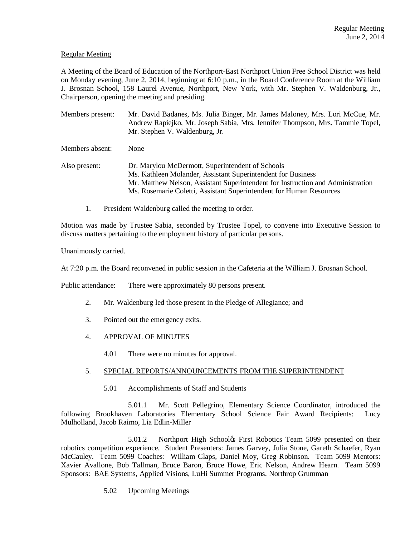# Regular Meeting

A Meeting of the Board of Education of the Northport-East Northport Union Free School District was held on Monday evening, June 2, 2014, beginning at 6:10 p.m., in the Board Conference Room at the William J. Brosnan School, 158 Laurel Avenue, Northport, New York, with Mr. Stephen V. Waldenburg, Jr., Chairperson, opening the meeting and presiding.

Members present: Mr. David Badanes, Ms. Julia Binger, Mr. James Maloney, Mrs. Lori McCue, Mr. Andrew Rapiejko, Mr. Joseph Sabia, Mrs. Jennifer Thompson, Mrs. Tammie Topel, Mr. Stephen V. Waldenburg, Jr.

Members absent: None

Also present: Dr. Marylou McDermott, Superintendent of Schools Ms. Kathleen Molander, Assistant Superintendent for Business Mr. Matthew Nelson, Assistant Superintendent for Instruction and Administration Ms. Rosemarie Coletti, Assistant Superintendent for Human Resources

1. President Waldenburg called the meeting to order.

Motion was made by Trustee Sabia, seconded by Trustee Topel, to convene into Executive Session to discuss matters pertaining to the employment history of particular persons.

Unanimously carried.

At 7:20 p.m. the Board reconvened in public session in the Cafeteria at the William J. Brosnan School.

Public attendance: There were approximately 80 persons present.

- 2. Mr. Waldenburg led those present in the Pledge of Allegiance; and
- 3. Pointed out the emergency exits.
- 4. APPROVAL OF MINUTES
	- 4.01 There were no minutes for approval.

# 5. SPECIAL REPORTS/ANNOUNCEMENTS FROM THE SUPERINTENDENT

5.01 Accomplishments of Staff and Students

5.01.1 Mr. Scott Pellegrino, Elementary Science Coordinator, introduced the following Brookhaven Laboratories Elementary School Science Fair Award Recipients: Lucy Mulholland, Jacob Raimo, Lia Edlin-Miller

5.01.2 Northport High School& First Robotics Team 5099 presented on their robotics competition experience. Student Presenters: James Garvey, Julia Stone, Gareth Schaefer, Ryan McCauley. Team 5099 Coaches: William Claps, Daniel Moy, Greg Robinson. Team 5099 Mentors: Xavier Avallone, Bob Tallman, Bruce Baron, Bruce Howe, Eric Nelson, Andrew Hearn. Team 5099 Sponsors: BAE Systems, Applied Visions, LuHi Summer Programs, Northrop Grumman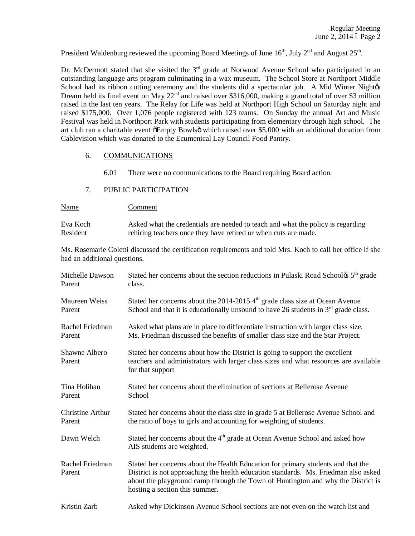President Waldenburg reviewed the upcoming Board Meetings of June  $16<sup>th</sup>$ , July  $2<sup>nd</sup>$  and August  $25<sup>th</sup>$ .

Dr. McDermott stated that she visited the 3<sup>rd</sup> grade at Norwood Avenue School who participated in an outstanding language arts program culminating in a wax museum. The School Store at Northport Middle School had its ribbon cutting ceremony and the students did a spectacular job. A Mid Winter Nightes Dream held its final event on May  $22<sup>nd</sup>$  and raised over \$316,000, making a grand total of over \$3 million raised in the last ten years. The Relay for Life was held at Northport High School on Saturday night and raised \$175,000. Over 1,076 people registered with 123 teams. On Sunday the annual Art and Music Festival was held in Northport Park with students participating from elementary through high school. The art club ran a charitable event  $\delta$ Empty Bowls $\ddot{o}$  which raised over \$5,000 with an additional donation from Cablevision which was donated to the Ecumenical Lay Council Food Pantry.

## 6. COMMUNICATIONS

- 6.01 There were no communications to the Board requiring Board action.
- 7. PUBLIC PARTICIPATION

| <u>Name</u> | Comment                                                                         |
|-------------|---------------------------------------------------------------------------------|
| Eva Koch    | Asked what the credentials are needed to teach and what the policy is regarding |
| Resident    | rehiring teachers once they have retired or when cuts are made.                 |

Ms. Rosemarie Coletti discussed the certification requirements and told Mrs. Koch to call her office if she had an additional questions.

| Michelle Dawson           | Stated her concerns about the section reductions in Pulaski Road School & 5 <sup>th</sup> grade                                                                                                                                                                                               |
|---------------------------|-----------------------------------------------------------------------------------------------------------------------------------------------------------------------------------------------------------------------------------------------------------------------------------------------|
| Parent                    | class.                                                                                                                                                                                                                                                                                        |
| Maureen Weiss             | Stated her concerns about the 2014-2015 $4th$ grade class size at Ocean Avenue                                                                                                                                                                                                                |
| Parent                    | School and that it is educationally unsound to have 26 students in $3rd$ grade class.                                                                                                                                                                                                         |
| Rachel Friedman           | Asked what plans are in place to differentiate instruction with larger class size.                                                                                                                                                                                                            |
| Parent                    | Ms. Friedman discussed the benefits of smaller class size and the Star Project.                                                                                                                                                                                                               |
| Shawne Albero<br>Parent   | Stated her concerns about how the District is going to support the excellent<br>teachers and administrators with larger class sizes and what resources are available<br>for that support                                                                                                      |
| Tina Holihan              | Stated her concerns about the elimination of sections at Bellerose Avenue                                                                                                                                                                                                                     |
| Parent                    | School                                                                                                                                                                                                                                                                                        |
| <b>Christine Arthur</b>   | Stated her concerns about the class size in grade 5 at Bellerose Avenue School and                                                                                                                                                                                                            |
| Parent                    | the ratio of boys to girls and accounting for weighting of students.                                                                                                                                                                                                                          |
| Dawn Welch                | Stated her concerns about the 4 <sup>th</sup> grade at Ocean Avenue School and asked how<br>AIS students are weighted.                                                                                                                                                                        |
| Rachel Friedman<br>Parent | Stated her concerns about the Health Education for primary students and that the<br>District is not approaching the health education standards. Ms. Friedman also asked<br>about the playground camp through the Town of Huntington and why the District is<br>hosting a section this summer. |
| Kristin Zarb              | Asked why Dickinson Avenue School sections are not even on the watch list and                                                                                                                                                                                                                 |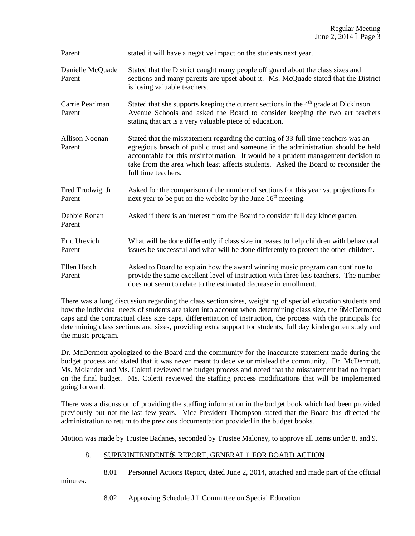Parent stated it will have a negative impact on the students next year.

- Danielle McQuade Stated that the District caught many people off guard about the class sizes and Parent sections and many parents are upset about it. Ms. McQuade stated that the District is losing valuable teachers.
- Carrie Pearlman Stated that she supports keeping the current sections in the  $4<sup>th</sup>$  grade at Dickinson Parent Avenue Schools and asked the Board to consider keeping the two art teachers stating that art is a very valuable piece of education.
- Allison Noonan Stated that the misstatement regarding the cutting of 33 full time teachers was an Parent egregious breach of public trust and someone in the administration should be held accountable for this misinformation. It would be a prudent management decision to take from the area which least affects students. Asked the Board to reconsider the full time teachers.
- Fred Trudwig, Jr Asked for the comparison of the number of sections for this year vs. projections for Parent next year to be put on the website by the June  $16<sup>th</sup>$  meeting.
- Debbie Ronan Asked if there is an interest from the Board to consider full day kindergarten. Parent
- Eric Urevich What will be done differently if class size increases to help children with behavioral Parent issues be successful and what will be done differently to protect the other children.
- Ellen Hatch Asked to Board to explain how the award winning music program can continue to Parent provide the same excellent level of instruction with three less teachers. The number does not seem to relate to the estimated decrease in enrollment.

There was a long discussion regarding the class section sizes, weighting of special education students and how the individual needs of students are taken into account when determining class size, the  $\delta$ McDermottö caps and the contractual class size caps, differentiation of instruction, the process with the principals for determining class sections and sizes, providing extra support for students, full day kindergarten study and the music program.

Dr. McDermott apologized to the Board and the community for the inaccurate statement made during the budget process and stated that it was never meant to deceive or mislead the community. Dr. McDermott, Ms. Molander and Ms. Coletti reviewed the budget process and noted that the misstatement had no impact on the final budget. Ms. Coletti reviewed the staffing process modifications that will be implemented going forward.

There was a discussion of providing the staffing information in the budget book which had been provided previously but not the last few years. Vice President Thompson stated that the Board has directed the administration to return to the previous documentation provided in the budget books.

Motion was made by Trustee Badanes, seconded by Trustee Maloney, to approve all items under 8. and 9.

# 8. SUPERINTENDENT & REPORT, GENERAL 6 FOR BOARD ACTION

8.01 Personnel Actions Report, dated June 2, 2014, attached and made part of the official

minutes.

8.02 Approving Schedule J 6 Committee on Special Education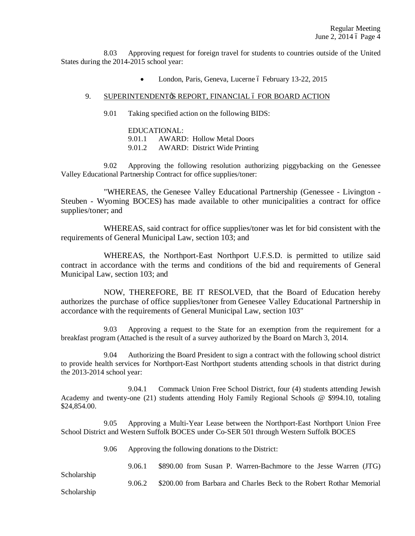8.03 Approving request for foreign travel for students to countries outside of the United States during the 2014-2015 school year:

• London, Paris, Geneva, Lucerne ó February 13-22, 2015

## 9. SUPERINTENDENT & REPORT, FINANCIAL 6 FOR BOARD ACTION

9.01 Taking specified action on the following BIDS:

EDUCATIONAL: 9.01.1 AWARD: Hollow Metal Doors 9.01.2 AWARD: District Wide Printing

9.02 Approving the following resolution authorizing piggybacking on the Genessee Valley Educational Partnership Contract for office supplies/toner:

"WHEREAS, the Genesee Valley Educational Partnership (Genessee - Livington - Steuben - Wyoming BOCES) has made available to other municipalities a contract for office supplies/toner; and

WHEREAS, said contract for office supplies/toner was let for bid consistent with the requirements of General Municipal Law, section 103; and

WHEREAS, the Northport-East Northport U.F.S.D. is permitted to utilize said contract in accordance with the terms and conditions of the bid and requirements of General Municipal Law, section 103; and

NOW, THEREFORE, BE IT RESOLVED, that the Board of Education hereby authorizes the purchase of office supplies/toner from Genesee Valley Educational Partnership in accordance with the requirements of General Municipal Law, section 103"

9.03 Approving a request to the State for an exemption from the requirement for a breakfast program (Attached is the result of a survey authorized by the Board on March 3, 2014.

9.04 Authorizing the Board President to sign a contract with the following school district to provide health services for Northport-East Northport students attending schools in that district during the 2013-2014 school year:

9.04.1 Commack Union Free School District, four (4) students attending Jewish Academy and twenty-one (21) students attending Holy Family Regional Schools @ \$994.10, totaling \$24,854.00.

9.05 Approving a Multi-Year Lease between the Northport-East Northport Union Free School District and Western Suffolk BOCES under Co-SER 501 through Western Suffolk BOCES

9.06 Approving the following donations to the District:

9.06.1 \$890.00 from Susan P. Warren-Bachmore to the Jesse Warren (JTG)

Scholarship

9.06.2 \$200.00 from Barbara and Charles Beck to the Robert Rothar Memorial

Scholarship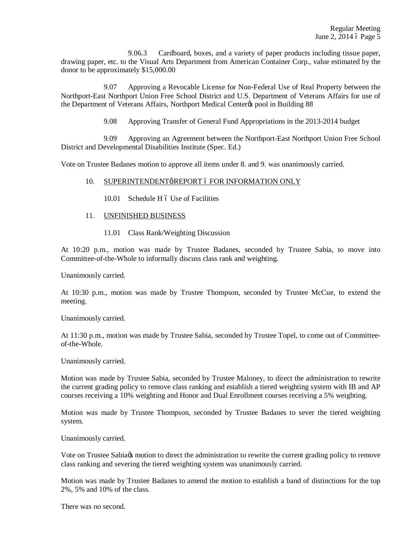9.06.3 Cardboard, boxes, and a variety of paper products including tissue paper, drawing paper, etc. to the Visual Arts Department from American Container Corp., value estimated by the donor to be approximately \$15,000.00

9.07 Approving a Revocable License for Non-Federal Use of Real Property between the Northport-East Northport Union Free School District and U.S. Department of Veterans Affairs for use of the Department of Veterans Affairs, Northport Medical Center $\alpha$  pool in Building 88

9.08 Approving Transfer of General Fund Appropriations in the 2013-2014 budget

9.09 Approving an Agreement between the Northport-East Northport Union Free School District and Developmental Disabilities Institute (Spec. Ed.)

Vote on Trustee Badanes motion to approve all items under 8. and 9. was unanimously carried.

## 10. SUPERINTENDENTøREPORT ó FOR INFORMATION ONLY

10.01 Schedule H 6 Use of Facilities

## 11. UNFINISHED BUSINESS

11.01 Class Rank/Weighting Discussion

At 10:20 p.m., motion was made by Trustee Badanes, seconded by Trustee Sabia, to move into Committee-of-the-Whole to informally discuss class rank and weighting.

Unanimously carried.

At 10:30 p.m., motion was made by Trustee Thompson, seconded by Trustee McCue, to extend the meeting.

Unanimously carried.

At 11:30 p.m., motion was made by Trustee Sabia, seconded by Trustee Topel, to come out of Committeeof-the-Whole.

Unanimously carried.

Motion was made by Trustee Sabia, seconded by Trustee Maloney, to direct the administration to rewrite the current grading policy to remove class ranking and establish a tiered weighting system with IB and AP courses receiving a 10% weighting and Honor and Dual Enrollment courses receiving a 5% weighting.

Motion was made by Trustee Thompson, seconded by Trustee Badanes to sever the tiered weighting system.

Unanimously carried.

Vote on Trustee Sabia to motion to direct the administration to rewrite the current grading policy to remove class ranking and severing the tiered weighting system was unanimously carried.

Motion was made by Trustee Badanes to amend the motion to establish a band of distinctions for the top 2%, 5% and 10% of the class.

There was no second.